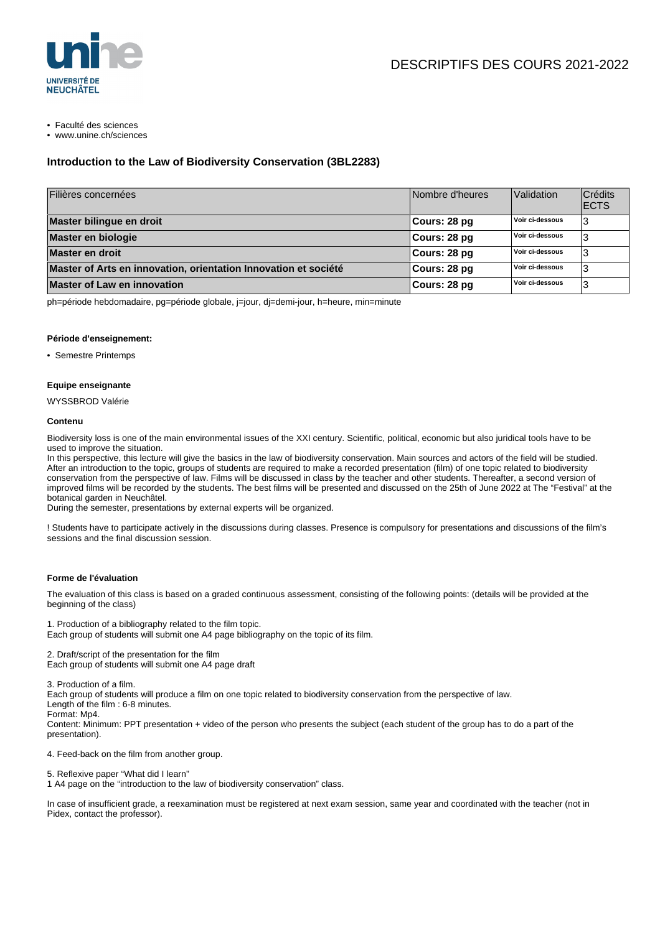

• Faculté des sciences

• www.unine.ch/sciences

# **Introduction to the Law of Biodiversity Conservation (3BL2283)**

| Filières concernées                                             | Nombre d'heures | Validation      | <b>Crédits</b><br><b>ECTS</b> |
|-----------------------------------------------------------------|-----------------|-----------------|-------------------------------|
| Master bilingue en droit                                        | ∣Cours: 28 pq   | Voir ci-dessous | 3                             |
| Master en biologie                                              | Cours: 28 pg    | Voir ci-dessous | З                             |
| Master en droit                                                 | Cours: 28 pg    | Voir ci-dessous |                               |
| Master of Arts en innovation, orientation Innovation et société | Cours: 28 pg    | Voir ci-dessous | 3                             |
| <b>Master of Law en innovation</b>                              | Cours: 28 pg    | Voir ci-dessous | 3                             |

ph=période hebdomadaire, pg=période globale, j=jour, dj=demi-jour, h=heure, min=minute

#### **Période d'enseignement:**

• Semestre Printemps

## **Equipe enseignante**

WYSSBROD Valérie

#### **Contenu**

Biodiversity loss is one of the main environmental issues of the XXI century. Scientific, political, economic but also juridical tools have to be used to improve the situation.

In this perspective, this lecture will give the basics in the law of biodiversity conservation. Main sources and actors of the field will be studied. After an introduction to the topic, groups of students are required to make a recorded presentation (film) of one topic related to biodiversity conservation from the perspective of law. Films will be discussed in class by the teacher and other students. Thereafter, a second version of improved films will be recorded by the students. The best films will be presented and discussed on the 25th of June 2022 at The "Festival" at the botanical garden in Neuchâtel.

During the semester, presentations by external experts will be organized.

! Students have to participate actively in the discussions during classes. Presence is compulsory for presentations and discussions of the film's sessions and the final discussion session.

## **Forme de l'évaluation**

The evaluation of this class is based on a graded continuous assessment, consisting of the following points: (details will be provided at the beginning of the class)

1. Production of a bibliography related to the film topic. Each group of students will submit one A4 page bibliography on the topic of its film.

2. Draft/script of the presentation for the film Each group of students will submit one A4 page draft

3. Production of a film.

Each group of students will produce a film on one topic related to biodiversity conservation from the perspective of law.

Length of the film : 6-8 minutes.

Format: Mp4. Content: Minimum: PPT presentation + video of the person who presents the subject (each student of the group has to do a part of the presentation).

4. Feed-back on the film from another group.

5. Reflexive paper "What did I learn"

1 A4 page on the "introduction to the law of biodiversity conservation" class.

In case of insufficient grade, a reexamination must be registered at next exam session, same year and coordinated with the teacher (not in Pidex, contact the professor).